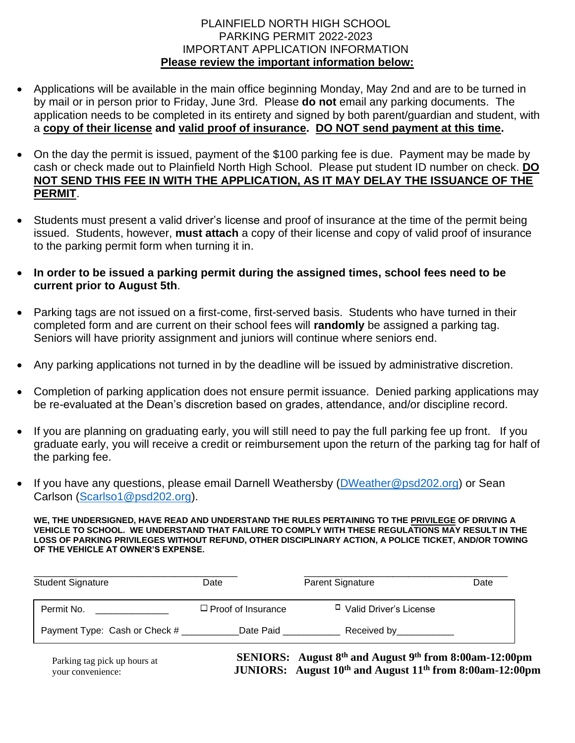### PLAINFIELD NORTH HIGH SCHOOL PARKING PERMIT 2022-2023 IMPORTANT APPLICATION INFORMATION **Please review the important information below:**

- Applications will be available in the main office beginning Monday, May 2nd and are to be turned in by mail or in person prior to Friday, June 3rd. Please **do not** email any parking documents. The application needs to be completed in its entirety and signed by both parent/guardian and student, with a **copy of their license and valid proof of insurance. DO NOT send payment at this time.**
- On the day the permit is issued, payment of the \$100 parking fee is due. Payment may be made by cash or check made out to Plainfield North High School. Please put student ID number on check. **DO NOT SEND THIS FEE IN WITH THE APPLICATION, AS IT MAY DELAY THE ISSUANCE OF THE PERMIT**.
- Students must present a valid driver's license and proof of insurance at the time of the permit being issued. Students, however, **must attach** a copy of their license and copy of valid proof of insurance to the parking permit form when turning it in.
- **In order to be issued a parking permit during the assigned times, school fees need to be current prior to August 5th**.
- Parking tags are not issued on a first-come, first-served basis. Students who have turned in their completed form and are current on their school fees will **randomly** be assigned a parking tag. Seniors will have priority assignment and juniors will continue where seniors end.
- Any parking applications not turned in by the deadline will be issued by administrative discretion.
- Completion of parking application does not ensure permit issuance. Denied parking applications may be re-evaluated at the Dean's discretion based on grades, attendance, and/or discipline record.
- If you are planning on graduating early, you will still need to pay the full parking fee up front. If you graduate early, you will receive a credit or reimbursement upon the return of the parking tag for half of the parking fee.
- If you have any questions, please email Darnell Weathersby [\(DWeather@psd202.org\)](mailto:DWeather@psd202.org) or Sean Carlson [\(Scarlso1@psd202.org\)](mailto:Scarlso1@psd202.org).

**WE, THE UNDERSIGNED, HAVE READ AND UNDERSTAND THE RULES PERTAINING TO THE PRIVILEGE OF DRIVING A VEHICLE TO SCHOOL. WE UNDERSTAND THAT FAILURE TO COMPLY WITH THESE REGULATIONS MAY RESULT IN THE LOSS OF PARKING PRIVILEGES WITHOUT REFUND, OTHER DISCIPLINARY ACTION, A POLICE TICKET, AND/OR TOWING OF THE VEHICLE AT OWNER'S EXPENSE.**

| Student Signature             | Date                      | Parent Signature              | Date |
|-------------------------------|---------------------------|-------------------------------|------|
| Permit No.                    | $\Box$ Proof of Insurance | □ Valid Driver's License      |      |
| Payment Type: Cash or Check # | Date Paid                 | Received by <b>Example 20</b> |      |

| Parking tag pick up hours at | <b>SENIORS:</b> August $8^{th}$ and August $9^{th}$ from 8:00am-12:00pm |
|------------------------------|-------------------------------------------------------------------------|
| your convenience:            | JUNIORS: August $10^{th}$ and August $11^{th}$ from 8:00am-12:00pm      |